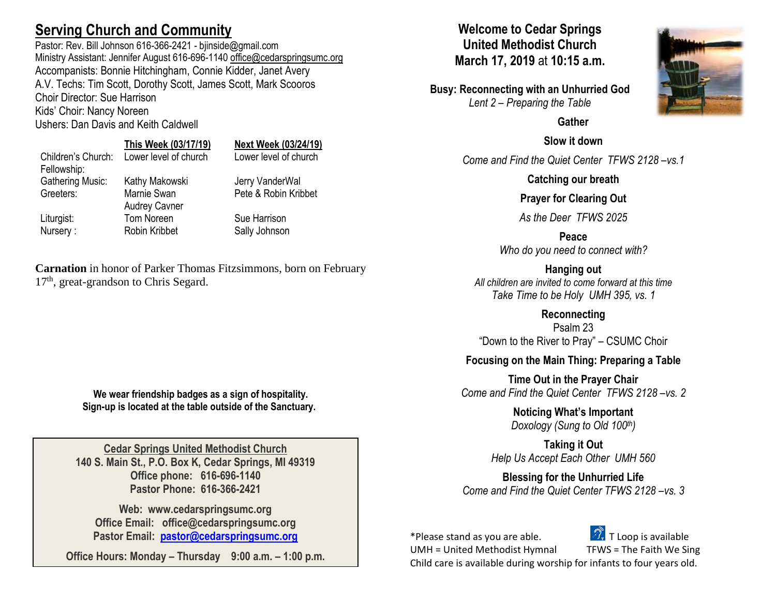# **Serving Church and Community**

Pastor: Rev. Bill Johnson 616-366-2421 - bjinside@gmail.com Ministry Assistant: Jennifer August 616-696-1140 [office@cedarspringsumc.org](mailto:office@cedarspringsumc.org) Accompanists: Bonnie Hitchingham, Connie Kidder, Janet Avery A.V. Techs: Tim Scott, Dorothy Scott, James Scott, Mark Scooros Choir Director: Sue Harrison Kids' Choir: Nancy Noreen

Ushers: Dan Davis and Keith Caldwell

# **This Week (03/17/19) Next Week (03/24/19)**

Children's Church: Lower level of church Lower level of church Fellowship: Gathering Music: Kathy Makowski Jerry VanderWal Greeters: Marnie Swan Audrey Cavner Liturgist: Tom Noreen Sue Harrison Nursery : Robin Kribbet Sally Johnson

Pete & Robin Kribbet

**Carnation** in honor of Parker Thomas Fitzsimmons, born on February 17<sup>th</sup>, great-grandson to Chris Segard.

> **We wear friendship badges as a sign of hospitality. Sign-up is located at the table outside of the Sanctuary.**

**Cedar Springs United Methodist Church 140 S. Main St., P.O. Box K, Cedar Springs, MI 49319 Office phone: 616-696-1140 Pastor Phone: 616-366-2421**

**Web: www.cedarspringsumc.org Office Email: office@cedarspringsumc.org Pastor Email: [pastor@cedarspringsumc.org](mailto:pastor@cedarspringsumc.org)**

**Office Hours: Monday – Thursday 9:00 a.m. – 1:00 p.m.**

### **Welcome to Cedar Springs United Methodist Church March 17, 2019** at **10:15 a.m.**

**Busy: Reconnecting with an Unhurried God** *Lent 2 – Preparing the Table*

### **Gather**

**Slow it down**

*Come and Find the Quiet Center TFWS 2128 –vs.1*

**Catching our breath**

### **Prayer for Clearing Out**

*As the Deer TFWS 2025*

**Peace** *Who do you need to connect with?*

**Hanging out** *All children are invited to come forward at this time Take Time to be Holy UMH 395, vs. 1*

**Reconnecting**

Psalm 23 "Down to the River to Pray" – CSUMC Choir

### **Focusing on the Main Thing: Preparing a Table**

**Time Out in the Prayer Chair** *Come and Find the Quiet Center TFWS 2128 –vs. 2*

> **Noticing What's Important** *Doxology (Sung to Old 100th)*

**Taking it Out** *Help Us Accept Each Other UMH 560*

**Blessing for the Unhurried Life** *Come and Find the Quiet Center TFWS 2128 –vs. 3*

\*Please stand as you are able.  $\Box$  T Loop is available



UMH = United Methodist Hymnal TFWS = The Faith We Sing Child care is available during worship for infants to four years old.